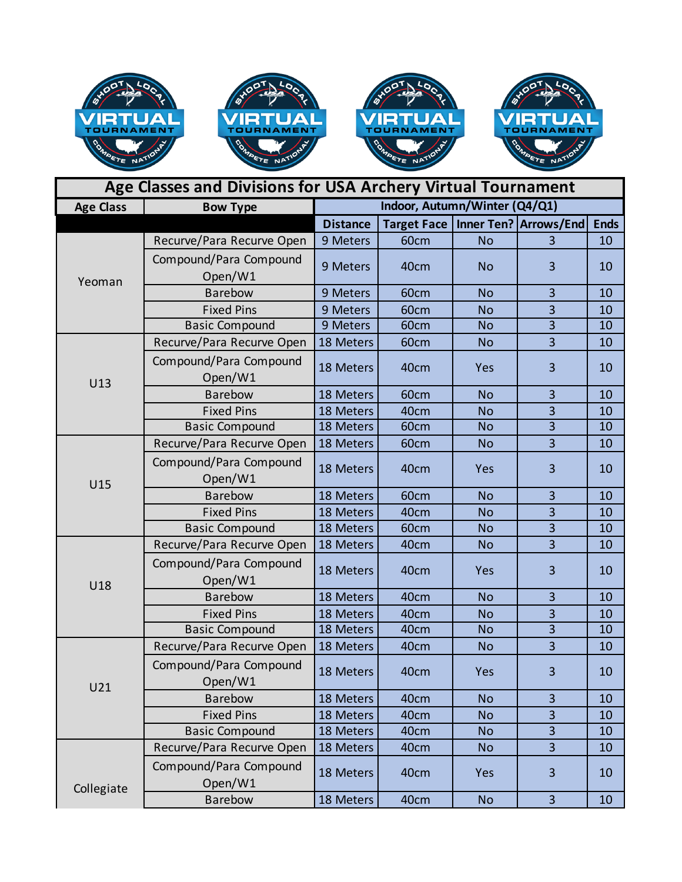

| Age Classes and Divisions for USA Archery Virtual Tournament |                                   |                               |      |           |                                       |             |
|--------------------------------------------------------------|-----------------------------------|-------------------------------|------|-----------|---------------------------------------|-------------|
| <b>Age Class</b>                                             | <b>Bow Type</b>                   | Indoor, Autumn/Winter (Q4/Q1) |      |           |                                       |             |
|                                                              |                                   | <b>Distance</b>               |      |           | Target Face   Inner Ten?   Arrows/End | <b>Ends</b> |
| Yeoman                                                       | Recurve/Para Recurve Open         | 9 Meters                      | 60cm | <b>No</b> | 3                                     | 10          |
|                                                              | Compound/Para Compound<br>Open/W1 | 9 Meters                      | 40cm | <b>No</b> | 3                                     | 10          |
|                                                              | Barebow                           | 9 Meters                      | 60cm | <b>No</b> | 3                                     | 10          |
|                                                              | <b>Fixed Pins</b>                 | 9 Meters                      | 60cm | <b>No</b> | $\overline{\mathbf{3}}$               | 10          |
|                                                              | <b>Basic Compound</b>             | 9 Meters                      | 60cm | <b>No</b> | $\overline{3}$                        | 10          |
| U13                                                          | Recurve/Para Recurve Open         | 18 Meters                     | 60cm | <b>No</b> | $\overline{3}$                        | 10          |
|                                                              | Compound/Para Compound<br>Open/W1 | 18 Meters                     | 40cm | Yes       | 3                                     | 10          |
|                                                              | Barebow                           | 18 Meters                     | 60cm | <b>No</b> | 3                                     | 10          |
|                                                              | <b>Fixed Pins</b>                 | 18 Meters                     | 40cm | <b>No</b> | 3                                     | 10          |
|                                                              | <b>Basic Compound</b>             | 18 Meters                     | 60cm | <b>No</b> | $\overline{3}$                        | 10          |
|                                                              | Recurve/Para Recurve Open         | 18 Meters                     | 60cm | <b>No</b> | $\overline{3}$                        | 10          |
| U15                                                          | Compound/Para Compound<br>Open/W1 | 18 Meters                     | 40cm | Yes       | 3                                     | 10          |
|                                                              | <b>Barebow</b>                    | 18 Meters                     | 60cm | <b>No</b> | 3                                     | 10          |
|                                                              | <b>Fixed Pins</b>                 | 18 Meters                     | 40cm | <b>No</b> | $\overline{3}$                        | 10          |
|                                                              | <b>Basic Compound</b>             | 18 Meters                     | 60cm | <b>No</b> | $\overline{3}$                        | 10          |
|                                                              | Recurve/Para Recurve Open         | 18 Meters                     | 40cm | <b>No</b> | 3                                     | 10          |
| U18                                                          | Compound/Para Compound<br>Open/W1 | 18 Meters                     | 40cm | Yes       | 3                                     | 10          |
|                                                              | Barebow                           | 18 Meters                     | 40cm | <b>No</b> | 3                                     | 10          |
|                                                              | <b>Fixed Pins</b>                 | 18 Meters                     | 40cm | <b>No</b> | $\overline{3}$                        | 10          |
|                                                              | <b>Basic Compound</b>             | 18 Meters                     | 40cm | <b>No</b> | $\overline{3}$                        | 10          |
| U21                                                          | Recurve/Para Recurve Open         | 18 Meters                     | 40cm | <b>No</b> | $\overline{3}$                        | 10          |
|                                                              | Compound/Para Compound<br>Open/W1 | 18 Meters                     | 40cm | Yes       | $\overline{\mathbf{3}}$               | 10          |
|                                                              | <b>Barebow</b>                    | 18 Meters                     | 40cm | <b>No</b> | 3                                     | 10          |
|                                                              | <b>Fixed Pins</b>                 | 18 Meters                     | 40cm | <b>No</b> | $\overline{\mathbf{3}}$               | 10          |
|                                                              | <b>Basic Compound</b>             | 18 Meters                     | 40cm | <b>No</b> | $\overline{\mathbf{3}}$               | 10          |
| Collegiate                                                   | Recurve/Para Recurve Open         | 18 Meters                     | 40cm | <b>No</b> | $\overline{\mathbf{3}}$               | 10          |
|                                                              | Compound/Para Compound<br>Open/W1 | 18 Meters                     | 40cm | Yes       | 3                                     | 10          |
|                                                              | Barebow                           | 18 Meters                     | 40cm | <b>No</b> | $\overline{3}$                        | 10          |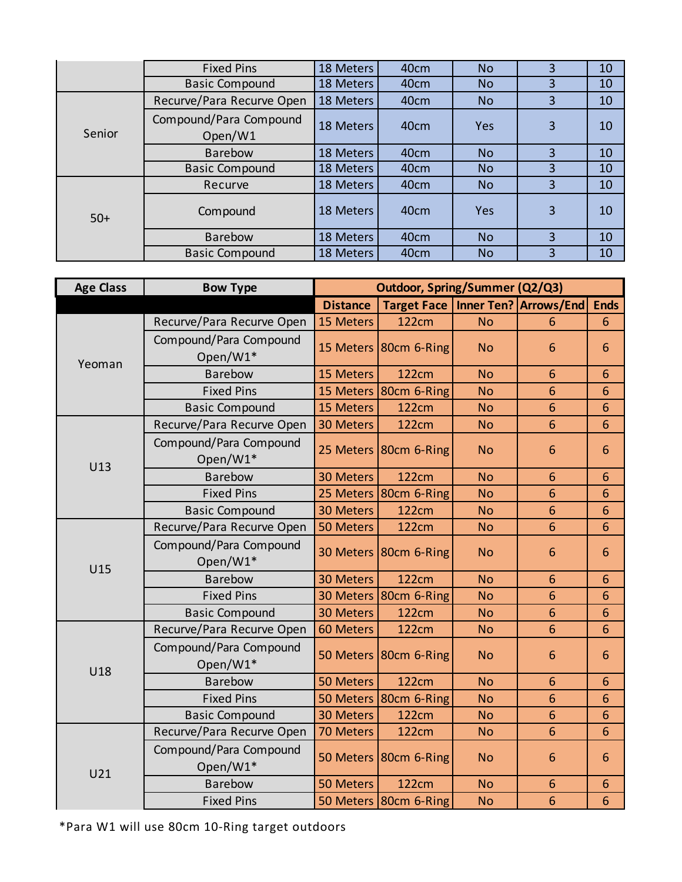|        | <b>Fixed Pins</b>                 | 18 Meters | 40 <sub>cm</sub> | <b>No</b> | 3 | 10 |
|--------|-----------------------------------|-----------|------------------|-----------|---|----|
|        | <b>Basic Compound</b>             | 18 Meters | 40 <sub>cm</sub> | <b>No</b> | 3 | 10 |
| Senior | Recurve/Para Recurve Open         | 18 Meters | 40cm             | <b>No</b> | 3 | 10 |
|        | Compound/Para Compound<br>Open/W1 | 18 Meters | 40 <sub>cm</sub> | Yes       | 3 | 10 |
|        | <b>Barebow</b>                    | 18 Meters | 40cm             | <b>No</b> | 3 | 10 |
|        | <b>Basic Compound</b>             | 18 Meters | 40cm             | <b>No</b> | 3 | 10 |
| $50+$  | Recurve                           | 18 Meters | 40cm             | <b>No</b> | 3 | 10 |
|        | Compound                          | 18 Meters | 40 <sub>cm</sub> | Yes       | 3 | 10 |
|        | <b>Barebow</b>                    | 18 Meters | 40cm             | <b>No</b> | 3 | 10 |
|        | <b>Basic Compound</b>             | 18 Meters | 40cm             | <b>No</b> | 3 | 10 |

| <b>Age Class</b> | <b>Bow Type</b>                    | <b>Outdoor, Spring/Summer (Q2/Q3)</b> |                       |                   |                 |                 |
|------------------|------------------------------------|---------------------------------------|-----------------------|-------------------|-----------------|-----------------|
|                  |                                    | <b>Distance</b>                       | <b>Target Face</b>    | <b>Inner Ten?</b> | Arrows/End      | <b>Ends</b>     |
| Yeoman           | Recurve/Para Recurve Open          | 15 Meters                             | <b>122cm</b>          | <b>No</b>         | 6               | 6               |
|                  | Compound/Para Compound<br>Open/W1* |                                       | 15 Meters 80cm 6-Ring | <b>No</b>         | 6               | 6               |
|                  | <b>Barebow</b>                     | 15 Meters                             | <b>122cm</b>          | <b>No</b>         | 6               | 6               |
|                  | <b>Fixed Pins</b>                  | 15 Meters                             | 80cm 6-Ring           | <b>No</b>         | $6\phantom{1}$  | 6               |
|                  | <b>Basic Compound</b>              | 15 Meters                             | <b>122cm</b>          | <b>No</b>         | 6               | 6               |
|                  | Recurve/Para Recurve Open          | <b>30 Meters</b>                      | <b>122cm</b>          | <b>No</b>         | 6               | 6               |
| U13              | Compound/Para Compound<br>Open/W1* | 25 Meters                             | 80cm 6-Ring           | <b>No</b>         | $6\phantom{1}6$ | $6\phantom{1}6$ |
|                  | <b>Barebow</b>                     | 30 Meters                             | <b>122cm</b>          | <b>No</b>         | $6\phantom{1}$  | 6               |
|                  | <b>Fixed Pins</b>                  | 25 Meters                             | 80cm 6-Ring           | <b>No</b>         | 6               | 6               |
|                  | <b>Basic Compound</b>              | 30 Meters                             | 122cm                 | <b>No</b>         | 6               | 6               |
|                  | Recurve/Para Recurve Open          | 50 Meters                             | <b>122cm</b>          | <b>No</b>         | 6               | 6               |
| U15              | Compound/Para Compound<br>Open/W1* |                                       | 30 Meters 80cm 6-Ring | <b>No</b>         | 6               | 6               |
|                  | Barebow                            | 30 Meters                             | 122cm                 | <b>No</b>         | 6               | 6               |
|                  | <b>Fixed Pins</b>                  | <b>30 Meters</b>                      | 80cm 6-Ring           | <b>No</b>         | 6               | 6               |
|                  | <b>Basic Compound</b>              | <b>30 Meters</b>                      | <b>122cm</b>          | <b>No</b>         | 6               | 6               |
|                  | Recurve/Para Recurve Open          | 60 Meters                             | <b>122cm</b>          | <b>No</b>         | $6\phantom{1}$  | 6               |
| U18              | Compound/Para Compound<br>Open/W1* | 50 Meters                             | 80cm 6-Ring           | <b>No</b>         | 6               | 6               |
|                  | Barebow                            | 50 Meters                             | <b>122cm</b>          | <b>No</b>         | 6               | 6               |
|                  | <b>Fixed Pins</b>                  | 50 Meters                             | 80cm 6-Ring           | <b>No</b>         | 6               | 6               |
|                  | <b>Basic Compound</b>              | <b>30 Meters</b>                      | <b>122cm</b>          | <b>No</b>         | 6               | 6               |
| U21              | Recurve/Para Recurve Open          | 70 Meters                             | <b>122cm</b>          | <b>No</b>         | 6               | 6               |
|                  | Compound/Para Compound<br>Open/W1* | 50 Meters                             | 80cm 6-Ring           | <b>No</b>         | $6\phantom{1}6$ | 6               |
|                  | <b>Barebow</b>                     | 50 Meters                             | <b>122cm</b>          | <b>No</b>         | 6               | 6               |
|                  | <b>Fixed Pins</b>                  |                                       | 50 Meters 80cm 6-Ring | <b>No</b>         | $6\phantom{1}$  | 6               |

\*Para W1 will use 80cm 10-Ring target outdoors